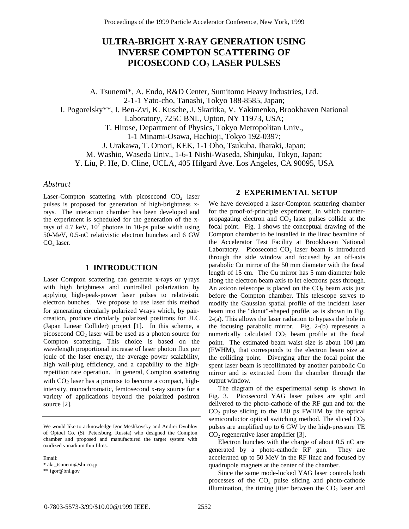# **ULTRA-BRIGHT X-RAY GENERATION USING INVERSE COMPTON SCATTERING OF PICOSECOND CO2 LASER PULSES**

A. Tsunemi\*, A. Endo, R&D Center, Sumitomo Heavy Industries, Ltd. 2-1-1 Yato-cho, Tanashi, Tokyo 188-8585, Japan; I. Pogorelsky\*\*, I. Ben-Zvi, K. Kusche, J. Skaritka, V. Yakimenko, Brookhaven National Laboratory, 725C BNL, Upton, NY 11973, USA; T. Hirose, Department of Physics, Tokyo Metropolitan Univ., 1-1 Minami-Osawa, Hachioji, Tokyo 192-0397; J. Urakawa, T. Omori, KEK, 1-1 Oho, Tsukuba, Ibaraki, Japan; M. Washio, Waseda Univ., 1-6-1 Nishi-Waseda, Shinjuku, Tokyo, Japan; Y. Liu, P. He, D. Cline, UCLA, 405 Hilgard Ave. Los Angeles, CA 90095, USA

#### *Abstract*

Laser-Compton scattering with picosecond  $CO<sub>2</sub>$  laser pulses is proposed for generation of high-brightness xrays. The interaction chamber has been developed and the experiment is scheduled for the generation of the xrays of 4.7 keV,  $10^7$  photons in 10-ps pulse width using 50-MeV, 0.5-nC relativistic electron bunches and 6 GW  $CO<sub>2</sub>$  laser.

### **1 INTRODUCTION**

Laser Compton scattering can generate x-rays or γ-rays with high brightness and controlled polarization by applying high-peak-power laser pulses to relativistic electron bunches. We propose to use laser this method for generating circularly polarized γ-rays which, by paircreation, produce circularly polarized positrons for JLC (Japan Linear Collider) project [1]. In this scheme, a picosecond  $CO<sub>2</sub>$  laser will be used as a photon source for Compton scattering. This choice is based on the wavelength proportional increase of laser photon flux per joule of the laser energy, the average power scalability, high wall-plug efficiency, and a capability to the highrepetition rate operation. In general, Compton scattering with  $CO<sub>2</sub>$  laser has a promise to become a compact, highintensity, monochromatic, femtosecond x-ray source for a variety of applications beyond the polarized positron source [2].

Email: \* akr\_tsunemi@shi.co.jp

\*\* igor@bnl.gov

#### **2 EXPERIMENTAL SETUP**

We have developed a laser-Compton scattering chamber for the proof-of-principle experiment, in which counterpropagating electron and  $CO<sub>2</sub>$  laser pulses collide at the focal point. Fig. 1 shows the conceptual drawing of the Compton chamber to be installed in the linac beamline of the Accelerator Test Facility at Brookhaven National Laboratory. Picosecond  $CO<sub>2</sub>$  laser beam is introduced through the side window and focused by an off-axis parabolic Cu mirror of the 50 mm diameter with the focal length of 15 cm. The Cu mirror has 5 mm diameter hole along the electron beam axis to let electrons pass through. An axicon telescope is placed on the  $CO<sub>2</sub>$  beam axis just before the Compton chamber. This telescope serves to modify the Gaussian spatial profile of the incident laser beam into the "donut"-shaped profile, as is shown in Fig. 2-(a). This allows the laser radiation to bypass the hole in the focusing parabolic mirror. Fig. 2-(b) represents a numerically calculated  $CO<sub>2</sub>$  beam profile at the focal point. The estimated beam waist size is about 100 µm (FWHM), that corresponds to the electron beam size at the colliding point. Diverging after the focal point the spent laser beam is recollimated by another parabolic Cu mirror and is extracted from the chamber through the output window.

The diagram of the experimental setup is shown in Fig. 3. Picosecond YAG laser pulses are split and delivered to the photo-cathode of the RF gun and for the  $CO<sub>2</sub>$  pulse slicing to the 180 ps FWHM by the optical semiconductor optical switching method. The sliced  $CO<sub>2</sub>$ pulses are amplified up to 6 GW by the high-pressure TE  $CO<sub>2</sub>$  regenerative laser amplifier [3].

Electron bunches with the charge of about 0.5 nC are generated by a photo-cathode RF gun. They are accelerated up to 50 MeV in the RF linac and focused by quadrupole magnets at the center of the chamber.

Since the same mode-locked YAG laser controls both processes of the  $CO<sub>2</sub>$  pulse slicing and photo-cathode illumination, the timing jitter between the  $CO<sub>2</sub>$  laser and

We would like to acknowledge Igor Meshkovsky and Andrei Dyublov of Optoel Co. (St. Petersburg, Russia) who designed the Compton chamber and proposed and manufactured the target system with oxidized vanadium thin films.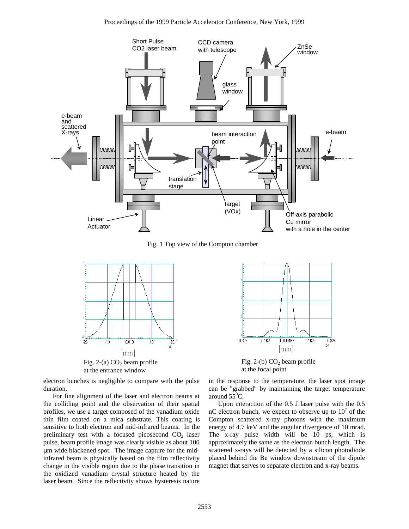

Fig. 1 Top view of the Compton chamber



at the entrance window

electron bunches is negligible to compare with the pulse duration.

For fine alignment of the laser and electron beams at the colliding point and the observation of their spatial profiles, we use a target composed of the vanadium oxide thin film coated on a mica substrate. This coating is sensitive to both electron and mid-infrared beams. In the preliminary test with a focused picosecond  $CO<sub>2</sub>$  laser pulse, beam profile image was clearly visible as about 100 µm wide blackened spot. The image capture for the midinfrared beam is physically based on the film reflectivity change in the visible region due to the phase transition in the oxidized vanadium crystal structure heated by the laser beam. Since the reflectivity shows hysteresis nature



Fig. 2-(b)  $CO<sub>2</sub>$  beam profile at the focal point

in the response to the temperature, the laser spot image can be "grabbed" by maintaining the target temperature around  $5\bar{5}^0C$ .

Upon interaction of the 0.5 J laser pulse with the 0.5 nC electron bunch, we expect to observe up to  $10^7$  of the Compton scattered x-ray photons with the maximum energy of 4.7 keV and the angular divergence of 10 mrad. The x-ray pulse width will be 10 ps, which is approximately the same as the electron bunch length. The scattered x-rays will be detected by a silicon photodiode placed behind the Be window downstream of the dipole magnet that serves to separate electron and x-ray beams.